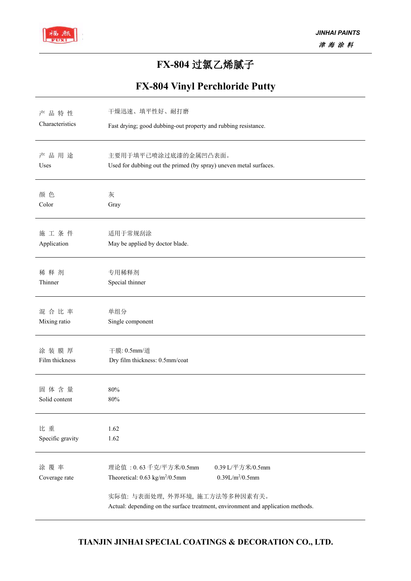

## **FX-804** 过氯乙烯腻子

## **FX-804 Vinyl Perchloride Putty**

| 产品特性                 | 干燥迅速、填平性好、耐打磨                                                                                                                                                   |  |  |  |  |
|----------------------|-----------------------------------------------------------------------------------------------------------------------------------------------------------------|--|--|--|--|
| Characteristics      | Fast drying; good dubbing-out property and rubbing resistance.                                                                                                  |  |  |  |  |
| 产品用途                 | 主要用于填平己喷涂过底漆的金属凹凸表面。                                                                                                                                            |  |  |  |  |
| Uses                 | Used for dubbing out the primed (by spray) uneven metal surfaces.                                                                                               |  |  |  |  |
| 颜色                   | 灰                                                                                                                                                               |  |  |  |  |
| Color                | Gray                                                                                                                                                            |  |  |  |  |
| 施工条件                 | 适用于常规刮涂                                                                                                                                                         |  |  |  |  |
| Application          | May be applied by doctor blade.                                                                                                                                 |  |  |  |  |
| 稀释剂                  | 专用稀释剂                                                                                                                                                           |  |  |  |  |
| Thinner              | Special thinner                                                                                                                                                 |  |  |  |  |
| 混合比率                 | 单组分                                                                                                                                                             |  |  |  |  |
| Mixing ratio         | Single component                                                                                                                                                |  |  |  |  |
| 涂装膜厚                 | 干膜: 0.5mm/道                                                                                                                                                     |  |  |  |  |
| Film thickness       | Dry film thickness: 0.5mm/coat                                                                                                                                  |  |  |  |  |
| 固体含量                 | 80%                                                                                                                                                             |  |  |  |  |
| Solid content        | 80%                                                                                                                                                             |  |  |  |  |
| 比重                   | 1.62                                                                                                                                                            |  |  |  |  |
| Specific gravity     | 1.62                                                                                                                                                            |  |  |  |  |
| 涂覆率<br>Coverage rate | 理论值: 0.63 千克/平方米/0.5mm<br>0.39 L/平方米/0.5mm<br>0.39L/m <sup>2</sup> /0.5mm<br>Theoretical: $0.63 \text{ kg/m}^2/0.5 \text{mm}$<br>实际值: 与表面处理, 外界环境, 施工方法等多种因素有关。 |  |  |  |  |
|                      | Actual: depending on the surface treatment, environment and application methods.                                                                                |  |  |  |  |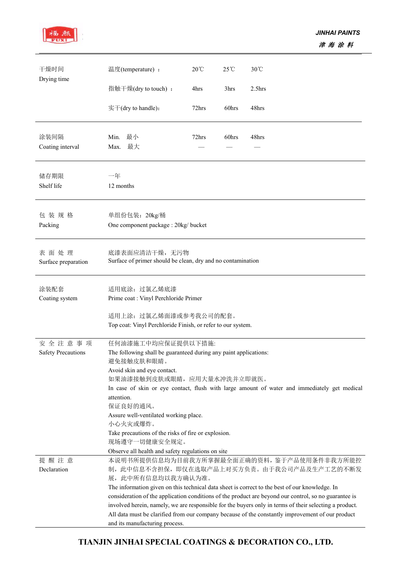

| Drying time<br>指触干燥(dry to touch):<br>3hrs<br>2.5 <sub>hrs</sub><br>4hrs<br>$\overline{\mathcal{F}}$ + (dry to handle):<br>72hrs<br>48hrs<br>60hrs<br>Min. 最小<br>涂装间隔<br>72hrs<br>60hrs<br>48hrs<br>Max. 最大<br>Coating interval<br>储存期限<br>一年<br>Shelf life<br>12 months<br>包装规格<br>单组份包装: 20kg/桶<br>Packing<br>One component package : 20kg/ bucket<br>表面处理<br>底漆表面应清洁干燥, 无污物<br>Surface of primer should be clean, dry and no contamination<br>Surface preparation<br>涂装配套<br>适用底涂: 过氯乙烯底漆<br>Prime coat : Vinyl Perchloride Primer<br>Coating system<br>适用上涂: 过氯乙烯面漆或参考我公司的配套。<br>Top coat: Vinyl Perchloride Finish, or refer to our system.<br>安全注意事项<br>任何油漆施工中均应保证提供以下措施:<br><b>Safety Precautions</b><br>The following shall be guaranteed during any paint applications:<br>避免接触皮肤和眼睛。<br>Avoid skin and eye contact.<br>如果油漆接触到皮肤或眼睛, 应用大量水冲洗并立即就医。<br>In case of skin or eye contact, flush with large amount of water and immediately get medical<br>attention.<br>保证良好的通风。<br>Assure well-ventilated working place.<br>小心火灾或爆炸。<br>Take precautions of the risks of fire or explosion.<br>现场遵守一切健康安全规定。<br>Observe all health and safety regulations on site<br>提醒注意<br>本说明书所提供信息均为目前我方所掌握最全面正确的资料, 鉴于产品使用条件非我方所能控<br>制, 此中信息不含担保, 即仅在选取产品上对买方负责。由于我公司产品及生产工艺的不断发<br>Declaration<br>展, 此中所有信息均以我方确认为准。<br>The information given on this technical data sheet is correct to the best of our knowledge. In<br>consideration of the application conditions of the product are beyond our control, so no guarantee is<br>involved herein, namely, we are responsible for the buyers only in terms of their selecting a product.<br>All data must be clarified from our company because of the constantly improvement of our product | 干燥时间 | 温度(temperature):               | $20^{\circ}$ C | $25^{\circ}$ C | $30^{\circ}$ C |  |  |
|----------------------------------------------------------------------------------------------------------------------------------------------------------------------------------------------------------------------------------------------------------------------------------------------------------------------------------------------------------------------------------------------------------------------------------------------------------------------------------------------------------------------------------------------------------------------------------------------------------------------------------------------------------------------------------------------------------------------------------------------------------------------------------------------------------------------------------------------------------------------------------------------------------------------------------------------------------------------------------------------------------------------------------------------------------------------------------------------------------------------------------------------------------------------------------------------------------------------------------------------------------------------------------------------------------------------------------------------------------------------------------------------------------------------------------------------------------------------------------------------------------------------------------------------------------------------------------------------------------------------------------------------------------------------------------------------------------------------------------------------|------|--------------------------------|----------------|----------------|----------------|--|--|
|                                                                                                                                                                                                                                                                                                                                                                                                                                                                                                                                                                                                                                                                                                                                                                                                                                                                                                                                                                                                                                                                                                                                                                                                                                                                                                                                                                                                                                                                                                                                                                                                                                                                                                                                              |      |                                |                |                |                |  |  |
|                                                                                                                                                                                                                                                                                                                                                                                                                                                                                                                                                                                                                                                                                                                                                                                                                                                                                                                                                                                                                                                                                                                                                                                                                                                                                                                                                                                                                                                                                                                                                                                                                                                                                                                                              |      |                                |                |                |                |  |  |
|                                                                                                                                                                                                                                                                                                                                                                                                                                                                                                                                                                                                                                                                                                                                                                                                                                                                                                                                                                                                                                                                                                                                                                                                                                                                                                                                                                                                                                                                                                                                                                                                                                                                                                                                              |      |                                |                |                |                |  |  |
|                                                                                                                                                                                                                                                                                                                                                                                                                                                                                                                                                                                                                                                                                                                                                                                                                                                                                                                                                                                                                                                                                                                                                                                                                                                                                                                                                                                                                                                                                                                                                                                                                                                                                                                                              |      |                                |                |                |                |  |  |
|                                                                                                                                                                                                                                                                                                                                                                                                                                                                                                                                                                                                                                                                                                                                                                                                                                                                                                                                                                                                                                                                                                                                                                                                                                                                                                                                                                                                                                                                                                                                                                                                                                                                                                                                              |      |                                |                |                |                |  |  |
|                                                                                                                                                                                                                                                                                                                                                                                                                                                                                                                                                                                                                                                                                                                                                                                                                                                                                                                                                                                                                                                                                                                                                                                                                                                                                                                                                                                                                                                                                                                                                                                                                                                                                                                                              |      |                                |                |                |                |  |  |
|                                                                                                                                                                                                                                                                                                                                                                                                                                                                                                                                                                                                                                                                                                                                                                                                                                                                                                                                                                                                                                                                                                                                                                                                                                                                                                                                                                                                                                                                                                                                                                                                                                                                                                                                              |      |                                |                |                |                |  |  |
|                                                                                                                                                                                                                                                                                                                                                                                                                                                                                                                                                                                                                                                                                                                                                                                                                                                                                                                                                                                                                                                                                                                                                                                                                                                                                                                                                                                                                                                                                                                                                                                                                                                                                                                                              |      |                                |                |                |                |  |  |
|                                                                                                                                                                                                                                                                                                                                                                                                                                                                                                                                                                                                                                                                                                                                                                                                                                                                                                                                                                                                                                                                                                                                                                                                                                                                                                                                                                                                                                                                                                                                                                                                                                                                                                                                              |      |                                |                |                |                |  |  |
|                                                                                                                                                                                                                                                                                                                                                                                                                                                                                                                                                                                                                                                                                                                                                                                                                                                                                                                                                                                                                                                                                                                                                                                                                                                                                                                                                                                                                                                                                                                                                                                                                                                                                                                                              |      |                                |                |                |                |  |  |
|                                                                                                                                                                                                                                                                                                                                                                                                                                                                                                                                                                                                                                                                                                                                                                                                                                                                                                                                                                                                                                                                                                                                                                                                                                                                                                                                                                                                                                                                                                                                                                                                                                                                                                                                              |      |                                |                |                |                |  |  |
|                                                                                                                                                                                                                                                                                                                                                                                                                                                                                                                                                                                                                                                                                                                                                                                                                                                                                                                                                                                                                                                                                                                                                                                                                                                                                                                                                                                                                                                                                                                                                                                                                                                                                                                                              |      |                                |                |                |                |  |  |
|                                                                                                                                                                                                                                                                                                                                                                                                                                                                                                                                                                                                                                                                                                                                                                                                                                                                                                                                                                                                                                                                                                                                                                                                                                                                                                                                                                                                                                                                                                                                                                                                                                                                                                                                              |      |                                |                |                |                |  |  |
|                                                                                                                                                                                                                                                                                                                                                                                                                                                                                                                                                                                                                                                                                                                                                                                                                                                                                                                                                                                                                                                                                                                                                                                                                                                                                                                                                                                                                                                                                                                                                                                                                                                                                                                                              |      |                                |                |                |                |  |  |
|                                                                                                                                                                                                                                                                                                                                                                                                                                                                                                                                                                                                                                                                                                                                                                                                                                                                                                                                                                                                                                                                                                                                                                                                                                                                                                                                                                                                                                                                                                                                                                                                                                                                                                                                              |      |                                |                |                |                |  |  |
|                                                                                                                                                                                                                                                                                                                                                                                                                                                                                                                                                                                                                                                                                                                                                                                                                                                                                                                                                                                                                                                                                                                                                                                                                                                                                                                                                                                                                                                                                                                                                                                                                                                                                                                                              |      |                                |                |                |                |  |  |
|                                                                                                                                                                                                                                                                                                                                                                                                                                                                                                                                                                                                                                                                                                                                                                                                                                                                                                                                                                                                                                                                                                                                                                                                                                                                                                                                                                                                                                                                                                                                                                                                                                                                                                                                              |      |                                |                |                |                |  |  |
|                                                                                                                                                                                                                                                                                                                                                                                                                                                                                                                                                                                                                                                                                                                                                                                                                                                                                                                                                                                                                                                                                                                                                                                                                                                                                                                                                                                                                                                                                                                                                                                                                                                                                                                                              |      |                                |                |                |                |  |  |
|                                                                                                                                                                                                                                                                                                                                                                                                                                                                                                                                                                                                                                                                                                                                                                                                                                                                                                                                                                                                                                                                                                                                                                                                                                                                                                                                                                                                                                                                                                                                                                                                                                                                                                                                              |      |                                |                |                |                |  |  |
|                                                                                                                                                                                                                                                                                                                                                                                                                                                                                                                                                                                                                                                                                                                                                                                                                                                                                                                                                                                                                                                                                                                                                                                                                                                                                                                                                                                                                                                                                                                                                                                                                                                                                                                                              |      |                                |                |                |                |  |  |
|                                                                                                                                                                                                                                                                                                                                                                                                                                                                                                                                                                                                                                                                                                                                                                                                                                                                                                                                                                                                                                                                                                                                                                                                                                                                                                                                                                                                                                                                                                                                                                                                                                                                                                                                              |      |                                |                |                |                |  |  |
|                                                                                                                                                                                                                                                                                                                                                                                                                                                                                                                                                                                                                                                                                                                                                                                                                                                                                                                                                                                                                                                                                                                                                                                                                                                                                                                                                                                                                                                                                                                                                                                                                                                                                                                                              |      |                                |                |                |                |  |  |
|                                                                                                                                                                                                                                                                                                                                                                                                                                                                                                                                                                                                                                                                                                                                                                                                                                                                                                                                                                                                                                                                                                                                                                                                                                                                                                                                                                                                                                                                                                                                                                                                                                                                                                                                              |      |                                |                |                |                |  |  |
|                                                                                                                                                                                                                                                                                                                                                                                                                                                                                                                                                                                                                                                                                                                                                                                                                                                                                                                                                                                                                                                                                                                                                                                                                                                                                                                                                                                                                                                                                                                                                                                                                                                                                                                                              |      |                                |                |                |                |  |  |
|                                                                                                                                                                                                                                                                                                                                                                                                                                                                                                                                                                                                                                                                                                                                                                                                                                                                                                                                                                                                                                                                                                                                                                                                                                                                                                                                                                                                                                                                                                                                                                                                                                                                                                                                              |      |                                |                |                |                |  |  |
|                                                                                                                                                                                                                                                                                                                                                                                                                                                                                                                                                                                                                                                                                                                                                                                                                                                                                                                                                                                                                                                                                                                                                                                                                                                                                                                                                                                                                                                                                                                                                                                                                                                                                                                                              |      |                                |                |                |                |  |  |
|                                                                                                                                                                                                                                                                                                                                                                                                                                                                                                                                                                                                                                                                                                                                                                                                                                                                                                                                                                                                                                                                                                                                                                                                                                                                                                                                                                                                                                                                                                                                                                                                                                                                                                                                              |      |                                |                |                |                |  |  |
|                                                                                                                                                                                                                                                                                                                                                                                                                                                                                                                                                                                                                                                                                                                                                                                                                                                                                                                                                                                                                                                                                                                                                                                                                                                                                                                                                                                                                                                                                                                                                                                                                                                                                                                                              |      |                                |                |                |                |  |  |
|                                                                                                                                                                                                                                                                                                                                                                                                                                                                                                                                                                                                                                                                                                                                                                                                                                                                                                                                                                                                                                                                                                                                                                                                                                                                                                                                                                                                                                                                                                                                                                                                                                                                                                                                              |      |                                |                |                |                |  |  |
|                                                                                                                                                                                                                                                                                                                                                                                                                                                                                                                                                                                                                                                                                                                                                                                                                                                                                                                                                                                                                                                                                                                                                                                                                                                                                                                                                                                                                                                                                                                                                                                                                                                                                                                                              |      |                                |                |                |                |  |  |
|                                                                                                                                                                                                                                                                                                                                                                                                                                                                                                                                                                                                                                                                                                                                                                                                                                                                                                                                                                                                                                                                                                                                                                                                                                                                                                                                                                                                                                                                                                                                                                                                                                                                                                                                              |      |                                |                |                |                |  |  |
|                                                                                                                                                                                                                                                                                                                                                                                                                                                                                                                                                                                                                                                                                                                                                                                                                                                                                                                                                                                                                                                                                                                                                                                                                                                                                                                                                                                                                                                                                                                                                                                                                                                                                                                                              |      |                                |                |                |                |  |  |
|                                                                                                                                                                                                                                                                                                                                                                                                                                                                                                                                                                                                                                                                                                                                                                                                                                                                                                                                                                                                                                                                                                                                                                                                                                                                                                                                                                                                                                                                                                                                                                                                                                                                                                                                              |      |                                |                |                |                |  |  |
|                                                                                                                                                                                                                                                                                                                                                                                                                                                                                                                                                                                                                                                                                                                                                                                                                                                                                                                                                                                                                                                                                                                                                                                                                                                                                                                                                                                                                                                                                                                                                                                                                                                                                                                                              |      |                                |                |                |                |  |  |
|                                                                                                                                                                                                                                                                                                                                                                                                                                                                                                                                                                                                                                                                                                                                                                                                                                                                                                                                                                                                                                                                                                                                                                                                                                                                                                                                                                                                                                                                                                                                                                                                                                                                                                                                              |      |                                |                |                |                |  |  |
|                                                                                                                                                                                                                                                                                                                                                                                                                                                                                                                                                                                                                                                                                                                                                                                                                                                                                                                                                                                                                                                                                                                                                                                                                                                                                                                                                                                                                                                                                                                                                                                                                                                                                                                                              |      |                                |                |                |                |  |  |
|                                                                                                                                                                                                                                                                                                                                                                                                                                                                                                                                                                                                                                                                                                                                                                                                                                                                                                                                                                                                                                                                                                                                                                                                                                                                                                                                                                                                                                                                                                                                                                                                                                                                                                                                              |      | and its manufacturing process. |                |                |                |  |  |